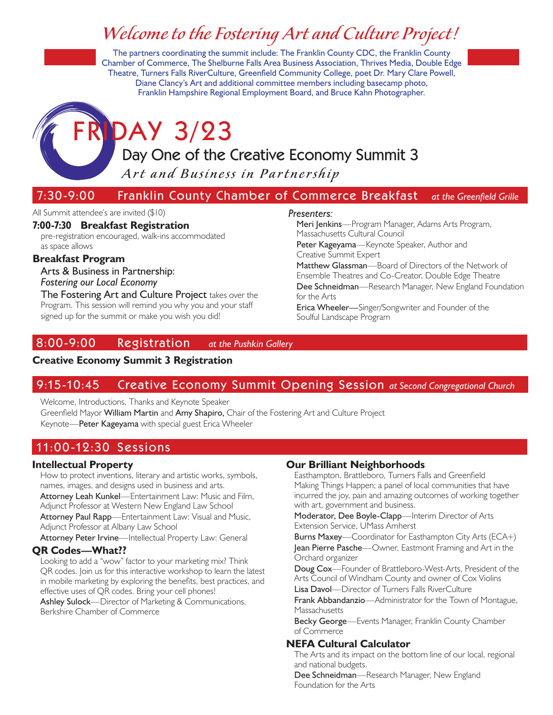## *Welcome to the Fostering Art and Culture Project!*

The partners coordinating the summit include: The Franklin County CDC, the Franklin County Chamber of Commerce, The Shelburne Falls Area Business Association, Thrives Media, Double Edge Theatre, Turners Falls RiverCulture, Greenfield Community College, poet Dr. Mary Clare Powell, Diane Clancy's Art and additional committee members including basecamp photo, Franklin Hampshire Regional Employment Board, and Bruce Kahn Photographer.

# DAY 3/23

## Day One of the Creative Economy Summit 3

Art and Business in Partnership

## 7:30-9:00 Franklin County Chamber of Commerce Breakfast at the Greenfield Grille

#### All Summit attendee's are invited (\$10)

#### **7:00-7:30 Breakfast Registration**

pre-registration encouraged, walk-ins accommodated as space allows

#### **Breakfast Program**

Arts & Business in Partnership: *Fostering our Local Economy*

The Fostering Art and Culture Project takes over the Program. This session will remind you why you and your staff signed up for the summit or make you wish you did!

## 8:00 -9:00 Regis t ration *at the Pushkin Gallery*

#### **Creative Economy Summit 3 Registration**

## 9:15 -10:45 Creative Economy Summit Opening Session *at Second Congregational Church*

Welcome, Introductions, Thanks and Keynote Speaker Greenfield Mayor William Martin and Amy Shapiro, Chair of the Fostering Art and Culture Project Keynote—Peter Kageyama with special guest Erica Wheeler

## 11:00-12:30 Sessions

#### **Intellectual Property**

How to protect inventions, literary and artistic works, symbols, names, images, and designs used in business and arts.

Attorney Leah Kunkel—Entertainment Law: Music and Film, Adjunct Professor at Western New England Law School

Attorney Paul Rapp—Entertainment Law: Visual and Music, Adjunct Professor at Albany Law School

Attorney Peter Irvine—Intellectual Property Law: General

#### **QR Codes—What??**

Looking to add a "wow" factor to your marketing mix? Think QR codes. Join us for this interactive workshop to learn the latest in mobile marketing by exploring the benefits, best practices, and effective uses of QR codes. Bring your cell phones!

Ashley Sulock—Director of Marketing & Communications, Berkshire Chamber of Commerce

#### **Our Brilliant Neighborhoods**

Easthampton, Brattleboro, Turners Falls and Greenfield Making Things Happen; a panel of local communities that have incurred the joy, pain and amazing outcomes of working together with art, government and business.

Moderator, Dee Boyle-Clapp—Interim Director of Arts Extension Service, UMass Amherst

Burns Maxey—Coordinator for Easthampton City Arts (ECA+) Jean Pierre Pasche—Owner, Eastmont Framing and Art in the Orchard organizer

Doug Cox—Founder of Brattleboro-West-Arts, President of the Arts Council of Windham County and owner of Cox Violins

Lisa Davol—Director of Turners Falls RiverCulture

Frank Abbandanzio—Administrator for the Town of Montague, **Massachusetts** 

Becky George—Events Manager, Franklin County Chamber of Commerce

#### **NEFA Cultural Calculator**

The Arts and its impact on the bottom line of our local, regional and national budgets.

Dee Schneidman—Research Manager, New England Foundation for the Arts

#### *Presenters:*

Meri Jenkins—Program Manager, Adams Arts Program, Massachusetts Cultural Council Peter Kageyama-Keynote Speaker, Author and Creative Summit Expert Matthew Glassman—Board of Directors of the Network of

Ensemble Theatres and Co-Creator, Double Edge Theatre Dee Schneidman-Research Manager, New England Foundation for the Arts

Erica Wheeler—Singer/Songwriter and Founder of the Soulful Landscape Program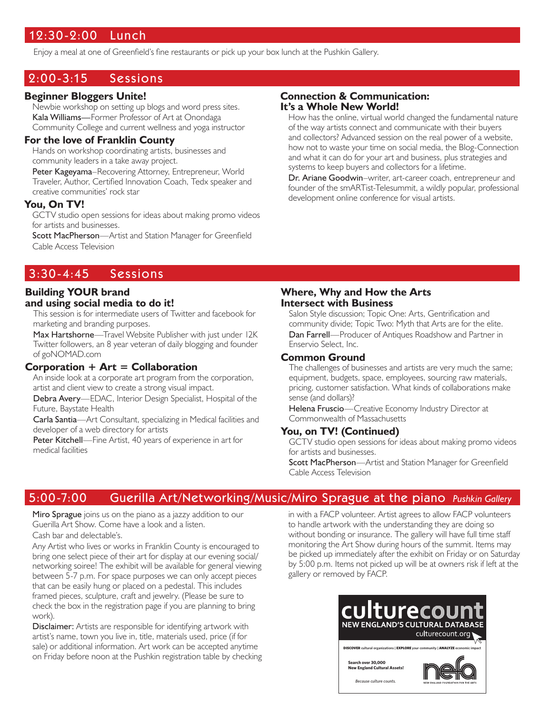## 12:30 -2:00 Lunch

Enjoy a meal at one of Greenfield's fine restaurants or pick up your box lunch at the Pushkin Gallery.

### 2:00-3:15 Sessions

#### **Beginner Bloggers Unite!**

Newbie workshop on setting up blogs and word press sites. Kala Williams—Former Professor of Art at Onondaga Community College and current wellness and yoga instructor

#### **For the love of Franklin County**

Hands on workshop coordinating artists, businesses and community leaders in a take away project.

Peter Kageyama–Recovering Attorney, Entrepreneur, World Traveler, Author, Certified Innovation Coach, Tedx speaker and creative communities' rock star

#### **You, On TV!**

GCTV studio open sessions for ideas about making promo videos for artists and businesses.

Scott MacPherson—Artist and Station Manager for Greenfield Cable Access Television

#### **Connection & Communication: It's a Whole New World!**

How has the online, virtual world changed the fundamental nature of the way artists connect and communicate with their buyers and collectors? Advanced session on the real power of a website, how not to waste your time on social media, the Blog-Connection and what it can do for your art and business, plus strategies and systems to keep buyers and collectors for a lifetime.

Dr. Ariane Goodwin–writer, art-career coach, entrepreneur and founder of the smARTist-Telesummit, a wildly popular, professional development online conference for visual artists.

## 3:30-4:45 Sessions

#### **Building YOUR brand and using social media to do it!**

This session is for intermediate users of Twitter and facebook for marketing and branding purposes.

Max Hartshorne—Travel Website Publisher with just under I2K Twitter followers, an 8 year veteran of daily blogging and founder of goNOMAD.com

#### **Corporation + Art = Collaboration**

An inside look at a corporate art program from the corporation, artist and client view to create a strong visual impact.

Debra Avery—EDAC, Interior Design Specialist, Hospital of the Future, Baystate Health

Carla Santia—Art Consultant, specializing in Medical facilities and developer of a web directory for artists

Peter Kitchell—Fine Artist, 40 years of experience in art for medical facilities

#### **Where, Why and How the Arts Intersect with Business**

Salon Style discussion; Topic One: Arts, Gentrification and community divide; Topic Two: Myth that Arts are for the elite.

Dan Farrell—Producer of Antiques Roadshow and Partner in Enservio Select, Inc.

#### **Common Ground**

The challenges of businesses and artists are very much the same; equipment, budgets, space, employees, sourcing raw materials, pricing, customer satisfaction. What kinds of collaborations make sense (and dollars)?

Helena Fruscio—Creative Economy Industry Director at Commonwealth of Massachusetts

#### **You, on TV! (Continued)**

GCTV studio open sessions for ideas about making promo videos for artists and businesses.

Scott MacPherson-Artist and Station Manager for Greenfield Cable Access Television

## 5:00-7:00 Guerilla Art/Networking/Music/Miro Sprague at the piano Pushkin Gallery

Miro Sprague joins us on the piano as a jazzy addition to our Guerilla Art Show. Come have a look and a listen. Cash bar and delectable's.

Any Artist who lives or works in Franklin County is encouraged to bring one select piece of their art for display at our evening social/ networking soiree! The exhibit will be available for general viewing between 5-7 p.m. For space purposes we can only accept pieces that can be easily hung or placed on a pedestal. This includes framed pieces, sculpture, craft and jewelry. (Please be sure to check the box in the registration page if you are planning to bring work).

Disclaimer: Artists are responsible for identifying artwork with artist's name, town you live in, title, materials used, price (if for sale) or additional information. Art work can be accepted anytime on Friday before noon at the Pushkin registration table by checking in with a FACP volunteer. Artist agrees to allow FACP volunteers to handle artwork with the understanding they are doing so without bonding or insurance. The gallery will have full time staff monitoring the Art Show during hours of the summit. Items may be picked up immediately after the exhibit on Friday or on Saturday by 5:00 p.m. Items not picked up will be at owners risk if left at the gallery or removed by FACP.



*Because culture counts.*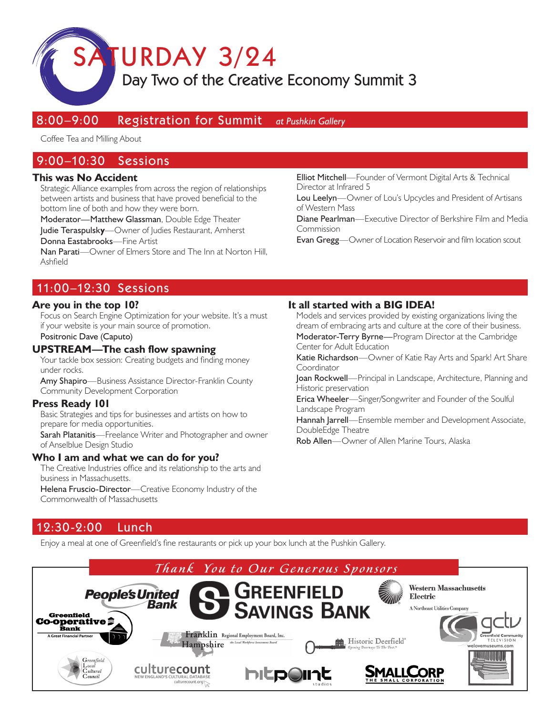TURDAY 3/24

## Day Two of the Creative Economy Summit 3

## 8:00-9:00 Registration for Summit at Pushkin Gallery

Coffee Tea and Milling About

## 9:00 –10:30 Sessions

#### **This was No Accident**

Strategic Alliance examples from across the region of relationships between artists and business that have proved beneficial to the bottom line of both and how they were born.

Moderator—Matthew Glassman, Double Edge Theater Judie Teraspulsk**y**—Owner of Judies Restaurant, Amherst

Donna Eastabrooks—Fine Artist

Nan Parati—Owner of Elmers Store and The Inn at Norton Hill, Ashfield

Elliot Mitchell—Founder of Vermont Digital Arts & Technical Director at Infrared 5

Lou Leelyn—Owner of Lou's Upcycles and President of Artisans of Western Mass

Diane Pearlman—Executive Director of Berkshire Film and Media Commission

Evan Gregg—Owner of Location Reservoir and film location scout

## 11:00 –12:30 Sessions

#### **Are you in the top 10?**

Focus on Search Engine Optimization for your website. It's a must if your website is your main source of promotion.

Positronic Dave (Caputo)

#### **UPSTREAM—The cash flow spawning**

Your tackle box session: Creating budgets and finding money under rocks.

Amy Shapiro—Business Assistance Director-Franklin County Community Development Corporation

#### **Press Ready 101**

Basic Strategies and tips for businesses and artists on how to prepare for media opportunities.

Sarah Platanitis—Freelance Writer and Photographer and owner of Anselblue Design Studio

#### **Who I am and what we can do for you?**

The Creative Industries office and its relationship to the arts and business in Massachusetts.

Helena Fruscio-Director—Creative Economy Industry of the Commonwealth of Massachusetts

### **It all started with a BIG IDEA!**

Models and services provided by existing organizations living the dream of embracing arts and culture at the core of their business. Moderator-Terry Byrne-Program Director at the Cambridge Center for Adult Education

Katie Richardson-Owner of Katie Ray Arts and Spark! Art Share **Coordinator** 

Joan Rockwell—Principal in Landscape, Architecture, Planning and Historic preservation

Erica Wheeler—Singer/Songwriter and Founder of the Soulful

Hannah Jarrell-Ensemble member and Development Associate,

Rob Allen—Owner of Allen Marine Tours, Alaska

## 12:30 -2:00 Lunch

Enjoy a meal at one of Greenfield's fine restaurants or pick up your box lunch at the Pushkin Gallery.



Landscape Program

DoubleEdge Theatre